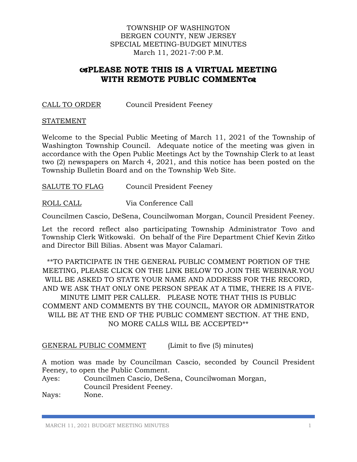### TOWNSHIP OF WASHINGTON BERGEN COUNTY, NEW JERSEY SPECIAL MEETING-BUDGET MINUTES March 11, 2021-7:00 P.M.

# **PLEASE NOTE THIS IS A VIRTUAL MEETING WITH REMOTE PUBLIC COMMENT**

## CALL TO ORDER Council President Feeney

#### STATEMENT

Welcome to the Special Public Meeting of March 11, 2021 of the Township of Washington Township Council. Adequate notice of the meeting was given in accordance with the Open Public Meetings Act by the Township Clerk to at least two (2) newspapers on March 4, 2021, and this notice has been posted on the Township Bulletin Board and on the Township Web Site.

SALUTE TO FLAG Council President Feeney

ROLL CALL Via Conference Call

Councilmen Cascio, DeSena, Councilwoman Morgan, Council President Feeney.

Let the record reflect also participating Township Administrator Tovo and Township Clerk Witkowski. On behalf of the Fire Department Chief Kevin Zitko and Director Bill Bilias. Absent was Mayor Calamari.

\*\*TO PARTICIPATE IN THE GENERAL PUBLIC COMMENT PORTION OF THE MEETING, PLEASE CLICK ON THE LINK BELOW TO JOIN THE WEBINAR.YOU WILL BE ASKED TO STATE YOUR NAME AND ADDRESS FOR THE RECORD, AND WE ASK THAT ONLY ONE PERSON SPEAK AT A TIME, THERE IS A FIVE-MINUTE LIMIT PER CALLER. PLEASE NOTE THAT THIS IS PUBLIC COMMENT AND COMMENTS BY THE COUNCIL, MAYOR OR ADMINISTRATOR WILL BE AT THE END OF THE PUBLIC COMMENT SECTION. AT THE END, NO MORE CALLS WILL BE ACCEPTED\*\*

GENERAL PUBLIC COMMENT (Limit to five (5) minutes)

A motion was made by Councilman Cascio, seconded by Council President Feeney, to open the Public Comment.

Ayes: Councilmen Cascio, DeSena, Councilwoman Morgan, Council President Feeney.

Nays: None.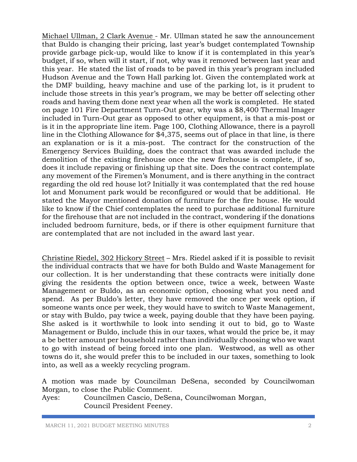Michael Ullman, 2 Clark Avenue - Mr. Ullman stated he saw the announcement that Buldo is changing their pricing, last year's budget contemplated Township provide garbage pick-up, would like to know if it is contemplated in this year's budget, if so, when will it start, if not, why was it removed between last year and this year. He stated the list of roads to be paved in this year's program included Hudson Avenue and the Town Hall parking lot. Given the contemplated work at the DMF building, heavy machine and use of the parking lot, is it prudent to include those streets in this year's program, we may be better off selecting other roads and having them done next year when all the work is completed. He stated on page 101 Fire Department Turn-Out gear, why was a \$8,400 Thermal Imager included in Turn-Out gear as opposed to other equipment, is that a mis-post or is it in the appropriate line item. Page 100, Clothing Allowance, there is a payroll line in the Clothing Allowance for \$4,375, seems out of place in that line, is there an explanation or is it a mis-post. The contract for the construction of the Emergency Services Building, does the contract that was awarded include the demolition of the existing firehouse once the new firehouse is complete, if so, does it include repaving or finishing up that site. Does the contract contemplate any movement of the Firemen's Monument, and is there anything in the contract regarding the old red house lot? Initially it was contemplated that the red house lot and Monument park would be reconfigured or would that be additional. He stated the Mayor mentioned donation of furniture for the fire house. He would like to know if the Chief contemplates the need to purchase additional furniture for the firehouse that are not included in the contract, wondering if the donations included bedroom furniture, beds, or if there is other equipment furniture that are contemplated that are not included in the award last year.

Christine Riedel, 302 Hickory Street – Mrs. Riedel asked if it is possible to revisit the individual contracts that we have for both Buldo and Waste Management for our collection. It is her understanding that these contracts were initially done giving the residents the option between once, twice a week, between Waste Management or Buldo, as an economic option, choosing what you need and spend. As per Buldo's letter, they have removed the once per week option, if someone wants once per week, they would have to switch to Waste Management, or stay with Buldo, pay twice a week, paying double that they have been paying. She asked is it worthwhile to look into sending it out to bid, go to Waste Management or Buldo, include this in our taxes, what would the price be, it may a be better amount per household rather than individually choosing who we want to go with instead of being forced into one plan. Westwood, as well as other towns do it, she would prefer this to be included in our taxes, something to look into, as well as a weekly recycling program.

A motion was made by Councilman DeSena, seconded by Councilwoman Morgan, to close the Public Comment.

Ayes: Councilmen Cascio, DeSena, Councilwoman Morgan, Council President Feeney.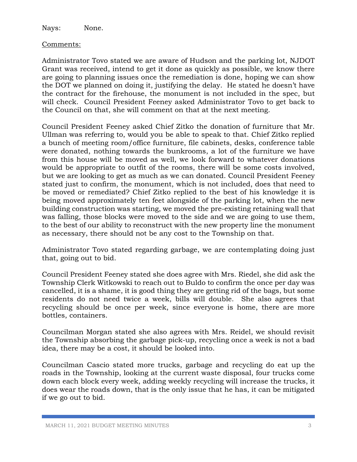Nays: None.

## Comments:

Administrator Tovo stated we are aware of Hudson and the parking lot, NJDOT Grant was received, intend to get it done as quickly as possible, we know there are going to planning issues once the remediation is done, hoping we can show the DOT we planned on doing it, justifying the delay. He stated he doesn't have the contract for the firehouse, the monument is not included in the spec, but will check. Council President Feeney asked Administrator Tovo to get back to the Council on that, she will comment on that at the next meeting.

Council President Feeney asked Chief Zitko the donation of furniture that Mr. Ullman was referring to, would you be able to speak to that. Chief Zitko replied a bunch of meeting room/office furniture, file cabinets, desks, conference table were donated, nothing towards the bunkrooms, a lot of the furniture we have from this house will be moved as well, we look forward to whatever donations would be appropriate to outfit of the rooms, there will be some costs involved, but we are looking to get as much as we can donated. Council President Feeney stated just to confirm, the monument, which is not included, does that need to be moved or remediated? Chief Zitko replied to the best of his knowledge it is being moved approximately ten feet alongside of the parking lot, when the new building construction was starting, we moved the pre-existing retaining wall that was falling, those blocks were moved to the side and we are going to use them, to the best of our ability to reconstruct with the new property line the monument as necessary, there should not be any cost to the Township on that.

Administrator Tovo stated regarding garbage, we are contemplating doing just that, going out to bid.

Council President Feeney stated she does agree with Mrs. Riedel, she did ask the Township Clerk Witkowski to reach out to Buldo to confirm the once per day was cancelled, it is a shame, it is good thing they are getting rid of the bags, but some residents do not need twice a week, bills will double. She also agrees that recycling should be once per week, since everyone is home, there are more bottles, containers.

Councilman Morgan stated she also agrees with Mrs. Reidel, we should revisit the Township absorbing the garbage pick-up, recycling once a week is not a bad idea, there may be a cost, it should be looked into.

Councilman Cascio stated more trucks, garbage and recycling do eat up the roads in the Township, looking at the current waste disposal, four trucks come down each block every week, adding weekly recycling will increase the trucks, it does wear the roads down, that is the only issue that he has, it can be mitigated if we go out to bid.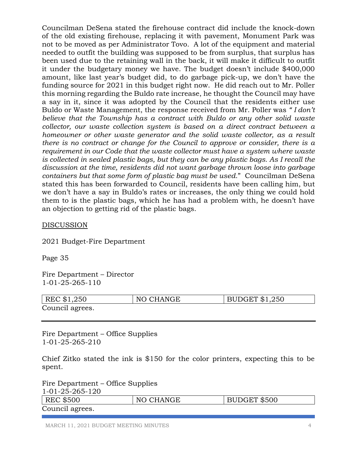Councilman DeSena stated the firehouse contract did include the knock-down of the old existing firehouse, replacing it with pavement, Monument Park was not to be moved as per Administrator Tovo. A lot of the equipment and material needed to outfit the building was supposed to be from surplus, that surplus has been used due to the retaining wall in the back, it will make it difficult to outfit it under the budgetary money we have. The budget doesn't include \$400,000 amount, like last year's budget did, to do garbage pick-up, we don't have the funding source for 2021 in this budget right now. He did reach out to Mr. Poller this morning regarding the Buldo rate increase, he thought the Council may have a say in it, since it was adopted by the Council that the residents either use Buldo or Waste Management, the response received from Mr. Poller was *" I don't believe that the Township has a contract with Buldo or any other solid waste collector, our waste collection system is based on a direct contract between a homeowner or other waste generator and the solid waste collector, as a result there is no contract or change for the Council to approve or consider, there is a requirement in our Code that the waste collector must have a system where waste is collected in sealed plastic bags, but they can be any plastic bags. As I recall the discussion at the time, residents did not want garbage thrown loose into garbage containers but that some form of plastic bag must be used*." Councilman DeSena stated this has been forwarded to Council, residents have been calling him, but we don't have a say in Buldo's rates or increases, the only thing we could hold them to is the plastic bags, which he has had a problem with, he doesn't have an objection to getting rid of the plastic bags.

### DISCUSSION

2021 Budget-Fire Department

Page 35

Fire Department – Director 1-01-25-265-110

| REC \$1,250     | NO CHANGE | $\vert$ BUDGET \$1,250 |
|-----------------|-----------|------------------------|
| Council agrees. |           |                        |

Fire Department – Office Supplies 1-01-25-265-210

Chief Zitko stated the ink is \$150 for the color printers, expecting this to be spent.

Fire Department – Office Supplies 1-01-25-265-120 REC \$500 | NO CHANGE | BUDGET \$500 Council agrees.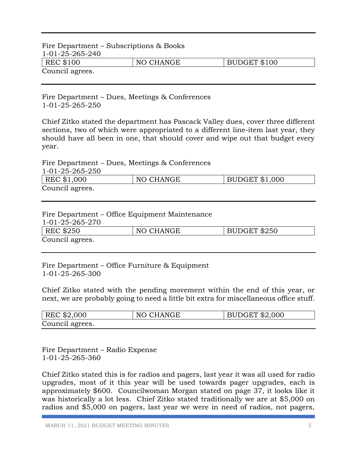# Fire Department – Subscriptions & Books 1-01-25-265-240 REC \$100 NO CHANGE BUDGET \$100 Council agrees.

Fire Department – Dues, Meetings & Conferences 1-01-25-265-250

Chief Zitko stated the department has Pascack Valley dues, cover three different sections, two of which were appropriated to a different line-item last year, they should have all been in one, that should cover and wipe out that budget every year.

Fire Department – Dues, Meetings & Conferences

| 1-01-25-265-250 |           |                       |
|-----------------|-----------|-----------------------|
| REC \$1,000     | NO CHANGE | <b>BUDGET \$1,000</b> |
| Council agrees. |           |                       |

#### Fire Department – Office Equipment Maintenance

1-01-25-265-270

| <b>REC \$250</b> | NO CHANGE | BUDGET \$250 |
|------------------|-----------|--------------|
| Council agrees.  |           |              |

Fire Department – Office Furniture & Equipment 1-01-25-265-300

Chief Zitko stated with the pending movement within the end of this year, or next, we are probably going to need a little bit extra for miscellaneous office stuff.

| $ $ REC \$2,000 | NO CHANGE | BUDGET \$2,000 |
|-----------------|-----------|----------------|
| Council agrees. |           |                |

Fire Department – Radio Expense 1-01-25-265-360

Chief Zitko stated this is for radios and pagers, last year it was all used for radio upgrades, most of it this year will be used towards pager upgrades, each is approximately \$600. Councilwoman Morgan stated on page 37, it looks like it was historically a lot less. Chief Zitko stated traditionally we are at \$5,000 on radios and \$5,000 on pagers, last year we were in need of radios, not pagers,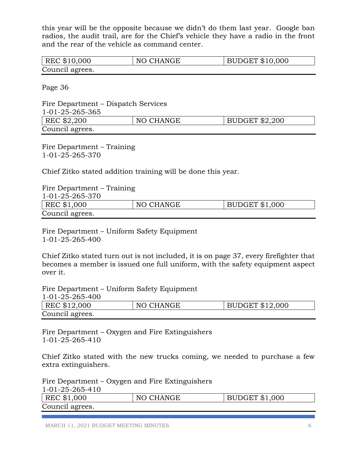this year will be the opposite because we didn't do them last year. Google ban radios, the audit trail, are for the Chief's vehicle they have a radio in the front and the rear of the vehicle as command center.

| REC \$10,000    | NO CHANGE | BUDGET \$10,000 |
|-----------------|-----------|-----------------|
| Council agrees. |           |                 |

Page 36

Fire Department – Dispatch Services 1-01-25-265-365 REC  $$2,200$  NO CHANGE BUDGET  $$2,200$ Council agrees.

Fire Department – Training 1-01-25-265-370

Chief Zitko stated addition training will be done this year.

| Fire Department – Training |           |                       |
|----------------------------|-----------|-----------------------|
| 1-01-25-265-370            |           |                       |
| REC \$1,000                | NO CHANGE | <b>BUDGET \$1,000</b> |
| Council agrees.            |           |                       |

Fire Department – Uniform Safety Equipment 1-01-25-265-400

Chief Zitko stated turn out is not included, it is on page 37, every firefighter that becomes a member is issued one full uniform, with the safety equipment aspect over it.

Fire Department – Uniform Safety Equipment  $0.6 - 100$ 

| 1-01-25-265-400 |           |                        |
|-----------------|-----------|------------------------|
| REC \$12,000    | NO CHANGE | <b>BUDGET \$12,000</b> |
| Council agrees. |           |                        |

Fire Department – Oxygen and Fire Extinguishers 1-01-25-265-410

Chief Zitko stated with the new trucks coming, we needed to purchase a few extra extinguishers.

Fire Department – Oxygen and Fire Extinguishers 1-01-25-265-410

| $1 - 01 - 20 - 200 - 10$ |           |                       |
|--------------------------|-----------|-----------------------|
| REC \$1,000              | NO CHANGE | <b>BUDGET \$1,000</b> |
| Council agrees.          |           |                       |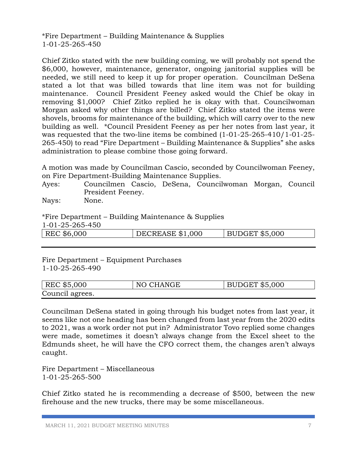\*Fire Department – Building Maintenance & Supplies 1-01-25-265-450

Chief Zitko stated with the new building coming, we will probably not spend the \$6,000, however, maintenance, generator, ongoing janitorial supplies will be needed, we still need to keep it up for proper operation. Councilman DeSena stated a lot that was billed towards that line item was not for building maintenance. Council President Feeney asked would the Chief be okay in removing \$1,000? Chief Zitko replied he is okay with that. Councilwoman Morgan asked why other things are billed? Chief Zitko stated the items were shovels, brooms for maintenance of the building, which will carry over to the new building as well. \*Council President Feeney as per her notes from last year, it was requested that the two-line items be combined (1-01-25-265-410/1-01-25- 265-450) to read "Fire Department – Building Maintenance & Supplies" she asks administration to please combine those going forward.

A motion was made by Councilman Cascio, seconded by Councilwoman Feeney, on Fire Department-Building Maintenance Supplies.

Ayes: Councilmen Cascio, DeSena, Councilwoman Morgan, Council President Feeney.

Nays: None.

\*Fire Department – Building Maintenance & Supplies

1-01-25-265-450

|  | REC \$6,000 | DECREASE \$1,000 | $\vert$ BUDGET \$5,000 |
|--|-------------|------------------|------------------------|
|--|-------------|------------------|------------------------|

Fire Department – Equipment Purchases 1-10-25-265-490

| REC \$5,000     | NO CHANGE | $\,$ BUDGET \$5,000 |
|-----------------|-----------|---------------------|
| Council agrees. |           |                     |

Councilman DeSena stated in going through his budget notes from last year, it seems like not one heading has been changed from last year from the 2020 edits to 2021, was a work order not put in? Administrator Tovo replied some changes were made, sometimes it doesn't always change from the Excel sheet to the Edmunds sheet, he will have the CFO correct them, the changes aren't always caught.

Fire Department – Miscellaneous 1-01-25-265-500

Chief Zitko stated he is recommending a decrease of \$500, between the new firehouse and the new trucks, there may be some miscellaneous.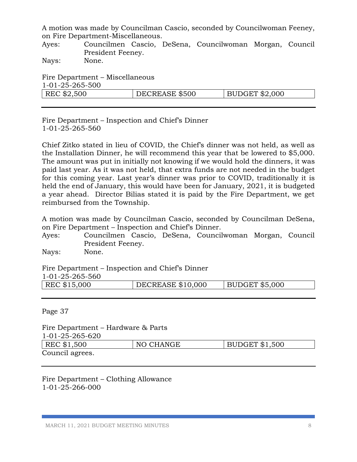A motion was made by Councilman Cascio, seconded by Councilwoman Feeney, on Fire Department-Miscellaneous.

Ayes: Councilmen Cascio, DeSena, Councilwoman Morgan, Council President Feeney.

Nays: None.

Fire Department – Miscellaneous 1-01-25-265-500

| 101202000   |                |                |
|-------------|----------------|----------------|
| REC \$2,500 | DECREASE \$500 | BUDGET \$2,000 |
|             |                |                |

Fire Department – Inspection and Chief's Dinner 1-01-25-265-560

Chief Zitko stated in lieu of COVID, the Chief's dinner was not held, as well as the Installation Dinner, he will recommend this year that be lowered to \$5,000. The amount was put in initially not knowing if we would hold the dinners, it was paid last year. As it was not held, that extra funds are not needed in the budget for this coming year. Last year's dinner was prior to COVID, traditionally it is held the end of January, this would have been for January, 2021, it is budgeted a year ahead. Director Bilias stated it is paid by the Fire Department, we get reimbursed from the Township.

A motion was made by Councilman Cascio, seconded by Councilman DeSena, on Fire Department – Inspection and Chief's Dinner.

Ayes: Councilmen Cascio, DeSena, Councilwoman Morgan, Council President Feeney.

Nays: None.

Fire Department – Inspection and Chief's Dinner

| 1-01-25-265-560 |  |
|-----------------|--|
|                 |  |

| REC \$15,000<br>  BUDGET \$5,000<br><b>DECREASE \$10,000</b> |
|--------------------------------------------------------------|
|--------------------------------------------------------------|

Page 37

| Fire Department – Hardware & Parts |           |                |
|------------------------------------|-----------|----------------|
| 1-01-25-265-620                    |           |                |
| REC \$1,500                        | NO CHANGE | BUDGET \$1,500 |
| Council agrees.                    |           |                |

Fire Department – Clothing Allowance 1-01-25-266-000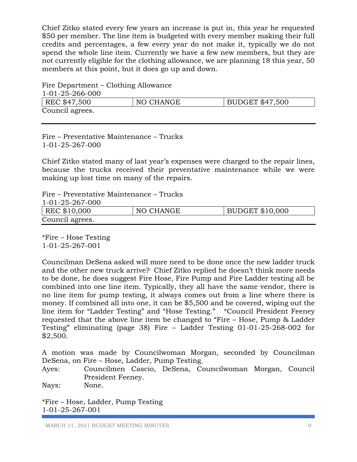Chief Zitko stated every few years an increase is put in, this year he requested \$50 per member. The line item is budgeted with every member making their full credits and percentages, a few every year do not make it, typically we do not spend the whole line item. Currently we have a few new members, but they are not currently eligible for the clothing allowance, we are planning 18 this year, 50 members at this point, but it does go up and down.

| Fire Department – Clothing Allowance |           |                 |
|--------------------------------------|-----------|-----------------|
| 1-01-25-266-000                      |           |                 |
| REC \$47,500                         | NO CHANGE | BUDGET \$47,500 |
| Council agrees.                      |           |                 |

Fire – Preventative Maintenance – Trucks 1-01-25-267-000

Chief Zitko stated many of last year's expenses were charged to the repair lines, because the trucks received their preventative maintenance while we were making up lost time on many of the repairs.

Fire – Preventative Maintenance – Trucks

| 1-01-25-267-000 |           |                        |
|-----------------|-----------|------------------------|
| REC \$10,000    | NO CHANGE | <b>BUDGET \$10,000</b> |
| Council agrees. |           |                        |

\*Fire – Hose Testing 1-01-25-267-001

Councilman DeSena asked will more need to be done once the new ladder truck and the other new truck arrive? Chief Zitko replied he doesn't think more needs to be done, he does suggest Fire Hose, Fire Pump and Fire Ladder testing all be combined into one line item. Typically, they all have the same vendor, there is no line item for pump testing, it always comes out from a line where there is money. If combined all into one, it can be \$5,500 and be covered, wiping out the line item for "Ladder Testing" and "Hose Testing." \*Council President Feeney requested that the above line item be changed to "Fire – Hose, Pump & Ladder Testing" eliminating (page 38) Fire – Ladder Testing 01-01-25-268-002 for \$2,500.

A motion was made by Councilwoman Morgan, seconded by Councilman DeSena, on Fire – Hose, Ladder, Pump Testing.

Ayes: Councilmen Cascio, DeSena, Councilwoman Morgan, Council President Feeney.

Nays: None.

\*Fire – Hose, Ladder, Pump Testing 1-01-25-267-001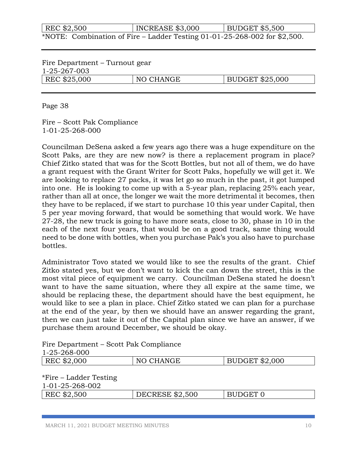| REC \$2,500                                                               | INCREASE \$3,000 | $\vert$ BUDGET \$5,500 |  |
|---------------------------------------------------------------------------|------------------|------------------------|--|
| *NOTE: Combination of Fire – Ladder Testing 01-01-25-268-002 for \$2,500. |                  |                        |  |

| Fire Department – Turnout gear |           |                 |
|--------------------------------|-----------|-----------------|
| 1-25-267-003                   |           |                 |
| REC \$25,000                   | NO CHANGE | BUDGET \$25,000 |

Page 38

Fire – Scott Pak Compliance 1-01-25-268-000

Councilman DeSena asked a few years ago there was a huge expenditure on the Scott Paks, are they are new now? is there a replacement program in place? Chief Zitko stated that was for the Scott Bottles, but not all of them, we do have a grant request with the Grant Writer for Scott Paks, hopefully we will get it. We are looking to replace 27 packs, it was let go so much in the past, it got lumped into one. He is looking to come up with a 5-year plan, replacing 25% each year, rather than all at once, the longer we wait the more detrimental it becomes, then they have to be replaced, if we start to purchase 10 this year under Capital, then 5 per year moving forward, that would be something that would work. We have 27-28, the new truck is going to have more seats, close to 30, phase in 10 in the each of the next four years, that would be on a good track, same thing would need to be done with bottles, when you purchase Pak's you also have to purchase bottles.

Administrator Tovo stated we would like to see the results of the grant. Chief Zitko stated yes, but we don't want to kick the can down the street, this is the most vital piece of equipment we carry. Councilman DeSena stated he doesn't want to have the same situation, where they all expire at the same time, we should be replacing these, the department should have the best equipment, he would like to see a plan in place. Chief Zitko stated we can plan for a purchase at the end of the year, by then we should have an answer regarding the grant, then we can just take it out of the Capital plan since we have an answer, if we purchase them around December, we should be okay.

Fire Department – Scott Pak Compliance 1-25-268-000

| 1 20 200 000              |                        |                       |
|---------------------------|------------------------|-----------------------|
| REC \$2,000               | NO CHANGE              | <b>BUDGET \$2,000</b> |
|                           |                        |                       |
| $*$ Fire – Ladder Testing |                        |                       |
| 1-01-25-268-002           |                        |                       |
| REC \$2,500               | <b>DECRESE \$2,500</b> | BUDGET 0              |
|                           |                        |                       |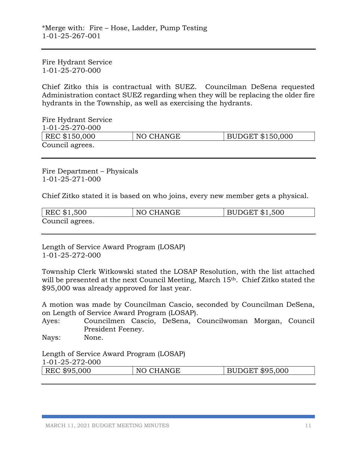Fire Hydrant Service 1-01-25-270-000

Chief Zitko this is contractual with SUEZ. Councilman DeSena requested Administration contact SUEZ regarding when they will be replacing the older fire hydrants in the Township, as well as exercising the hydrants.

Fire Hydrant Service 1-01-25-270-000 | REC \$150,000 | NO CHANGE | BUDGET \$150,000 Council agrees.

Fire Department – Physicals 1-01-25-271-000

Chief Zitko stated it is based on who joins, every new member gets a physical.

| REC \$1,500     | NO CHANGE | <b>BUDGET \$1,500</b> |
|-----------------|-----------|-----------------------|
| Council agrees. |           |                       |

Length of Service Award Program (LOSAP) 1-01-25-272-000

Township Clerk Witkowski stated the LOSAP Resolution, with the list attached will be presented at the next Council Meeting, March 15<sup>th</sup>. Chief Zitko stated the \$95,000 was already approved for last year.

A motion was made by Councilman Cascio, seconded by Councilman DeSena, on Length of Service Award Program (LOSAP).

Ayes: Councilmen Cascio, DeSena, Councilwoman Morgan, Council President Feeney.

Nays: None.

Length of Service Award Program (LOSAP)

1-01-25-272-000

| REC \$95,000 | NO CHANGE | BUDGET \$95,000 |
|--------------|-----------|-----------------|
|              |           |                 |

MARCH 11, 2021 BUDGET MEETING MINUTES 11